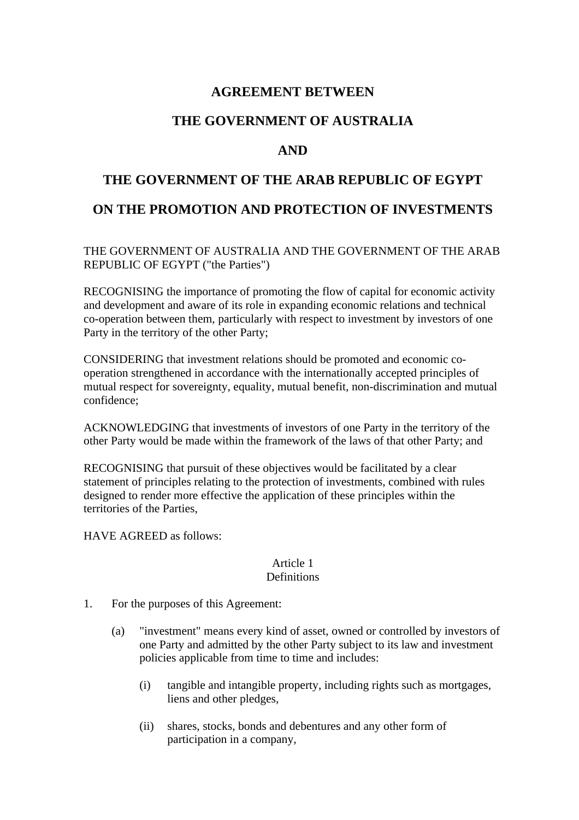## **AGREEMENT BETWEEN**

## **THE GOVERNMENT OF AUSTRALIA**

## **AND**

# **THE GOVERNMENT OF THE ARAB REPUBLIC OF EGYPT ON THE PROMOTION AND PROTECTION OF INVESTMENTS**

THE GOVERNMENT OF AUSTRALIA AND THE GOVERNMENT OF THE ARAB REPUBLIC OF EGYPT ("the Parties")

RECOGNISING the importance of promoting the flow of capital for economic activity and development and aware of its role in expanding economic relations and technical co-operation between them, particularly with respect to investment by investors of one Party in the territory of the other Party;

CONSIDERING that investment relations should be promoted and economic cooperation strengthened in accordance with the internationally accepted principles of mutual respect for sovereignty, equality, mutual benefit, non-discrimination and mutual confidence;

ACKNOWLEDGING that investments of investors of one Party in the territory of the other Party would be made within the framework of the laws of that other Party; and

RECOGNISING that pursuit of these objectives would be facilitated by a clear statement of principles relating to the protection of investments, combined with rules designed to render more effective the application of these principles within the territories of the Parties,

HAVE AGREED as follows:

#### Article 1 **Definitions**

- 1. For the purposes of this Agreement:
	- (a) "investment" means every kind of asset, owned or controlled by investors of one Party and admitted by the other Party subject to its law and investment policies applicable from time to time and includes:
		- (i) tangible and intangible property, including rights such as mortgages, liens and other pledges,
		- (ii) shares, stocks, bonds and debentures and any other form of participation in a company,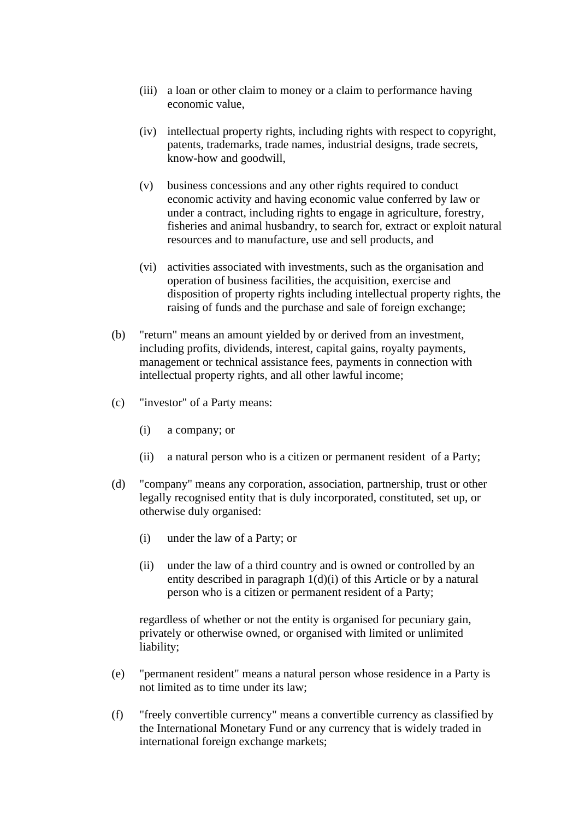- (iii) a loan or other claim to money or a claim to performance having economic value,
- (iv) intellectual property rights, including rights with respect to copyright, patents, trademarks, trade names, industrial designs, trade secrets, know-how and goodwill,
- (v) business concessions and any other rights required to conduct economic activity and having economic value conferred by law or under a contract, including rights to engage in agriculture, forestry, fisheries and animal husbandry, to search for, extract or exploit natural resources and to manufacture, use and sell products, and
- (vi) activities associated with investments, such as the organisation and operation of business facilities, the acquisition, exercise and disposition of property rights including intellectual property rights, the raising of funds and the purchase and sale of foreign exchange;
- (b) "return" means an amount yielded by or derived from an investment, including profits, dividends, interest, capital gains, royalty payments, management or technical assistance fees, payments in connection with intellectual property rights, and all other lawful income;
- (c) "investor" of a Party means:
	- (i) a company; or
	- (ii) a natural person who is a citizen or permanent resident of a Party;
- (d) "company" means any corporation, association, partnership, trust or other legally recognised entity that is duly incorporated, constituted, set up, or otherwise duly organised:
	- (i) under the law of a Party; or
	- (ii) under the law of a third country and is owned or controlled by an entity described in paragraph  $1(d)(i)$  of this Article or by a natural person who is a citizen or permanent resident of a Party;

regardless of whether or not the entity is organised for pecuniary gain, privately or otherwise owned, or organised with limited or unlimited liability;

- (e) "permanent resident" means a natural person whose residence in a Party is not limited as to time under its law;
- (f) "freely convertible currency" means a convertible currency as classified by the International Monetary Fund or any currency that is widely traded in international foreign exchange markets;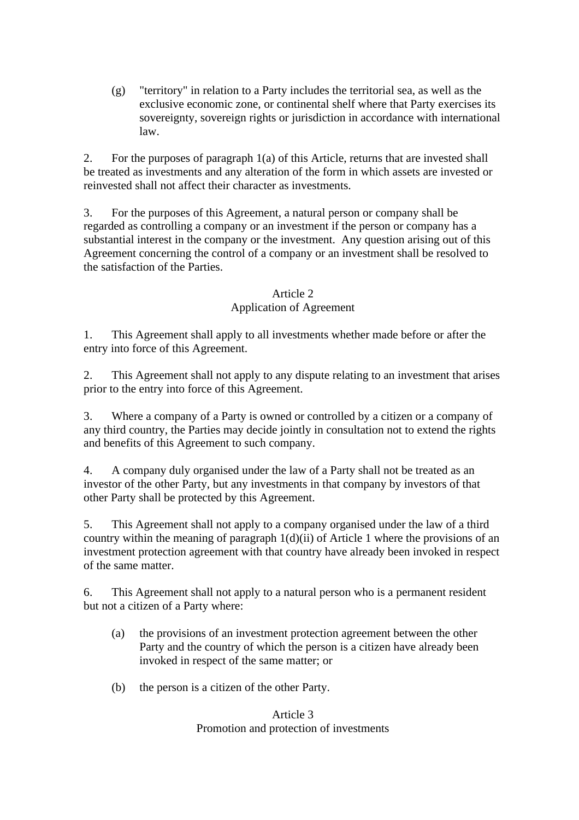(g) "territory" in relation to a Party includes the territorial sea, as well as the exclusive economic zone, or continental shelf where that Party exercises its sovereignty, sovereign rights or jurisdiction in accordance with international law.

2. For the purposes of paragraph 1(a) of this Article, returns that are invested shall be treated as investments and any alteration of the form in which assets are invested or reinvested shall not affect their character as investments.

3. For the purposes of this Agreement, a natural person or company shall be regarded as controlling a company or an investment if the person or company has a substantial interest in the company or the investment. Any question arising out of this Agreement concerning the control of a company or an investment shall be resolved to the satisfaction of the Parties.

#### Article 2

#### Application of Agreement

1. This Agreement shall apply to all investments whether made before or after the entry into force of this Agreement.

2. This Agreement shall not apply to any dispute relating to an investment that arises prior to the entry into force of this Agreement.

3. Where a company of a Party is owned or controlled by a citizen or a company of any third country, the Parties may decide jointly in consultation not to extend the rights and benefits of this Agreement to such company.

4. A company duly organised under the law of a Party shall not be treated as an investor of the other Party, but any investments in that company by investors of that other Party shall be protected by this Agreement.

5. This Agreement shall not apply to a company organised under the law of a third country within the meaning of paragraph  $1(d)(ii)$  of Article 1 where the provisions of an investment protection agreement with that country have already been invoked in respect of the same matter.

6. This Agreement shall not apply to a natural person who is a permanent resident but not a citizen of a Party where:

- (a) the provisions of an investment protection agreement between the other Party and the country of which the person is a citizen have already been invoked in respect of the same matter; or
- (b) the person is a citizen of the other Party.

#### Article 3 Promotion and protection of investments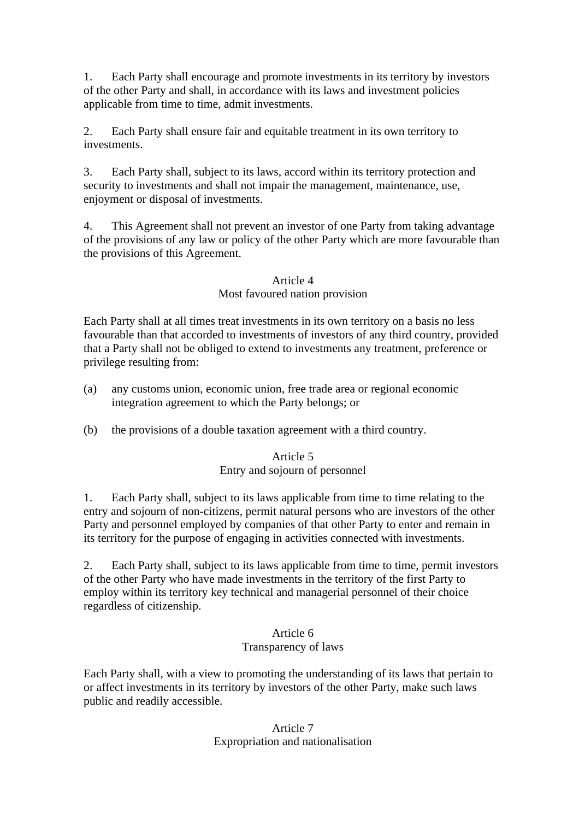1. Each Party shall encourage and promote investments in its territory by investors of the other Party and shall, in accordance with its laws and investment policies applicable from time to time, admit investments.

2. Each Party shall ensure fair and equitable treatment in its own territory to investments.

3. Each Party shall, subject to its laws, accord within its territory protection and security to investments and shall not impair the management, maintenance, use, enjoyment or disposal of investments.

4. This Agreement shall not prevent an investor of one Party from taking advantage of the provisions of any law or policy of the other Party which are more favourable than the provisions of this Agreement.

#### Article 4 Most favoured nation provision

Each Party shall at all times treat investments in its own territory on a basis no less favourable than that accorded to investments of investors of any third country, provided that a Party shall not be obliged to extend to investments any treatment, preference or privilege resulting from:

- (a) any customs union, economic union, free trade area or regional economic integration agreement to which the Party belongs; or
- (b) the provisions of a double taxation agreement with a third country.

## Article 5 Entry and sojourn of personnel

1. Each Party shall, subject to its laws applicable from time to time relating to the entry and sojourn of non-citizens, permit natural persons who are investors of the other Party and personnel employed by companies of that other Party to enter and remain in its territory for the purpose of engaging in activities connected with investments.

2. Each Party shall, subject to its laws applicable from time to time, permit investors of the other Party who have made investments in the territory of the first Party to employ within its territory key technical and managerial personnel of their choice regardless of citizenship.

#### Article 6 Transparency of laws

Each Party shall, with a view to promoting the understanding of its laws that pertain to or affect investments in its territory by investors of the other Party, make such laws public and readily accessible.

> Article 7 Expropriation and nationalisation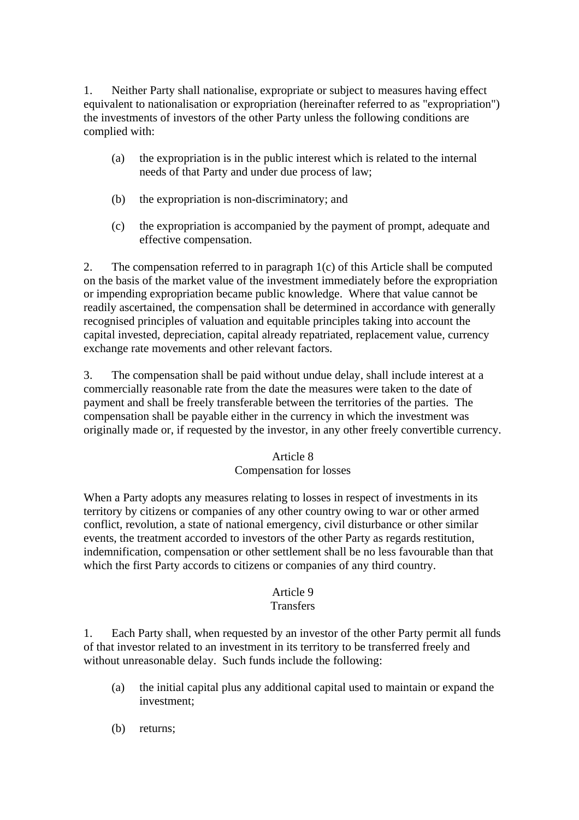1. Neither Party shall nationalise, expropriate or subject to measures having effect equivalent to nationalisation or expropriation (hereinafter referred to as "expropriation") the investments of investors of the other Party unless the following conditions are complied with:

- (a) the expropriation is in the public interest which is related to the internal needs of that Party and under due process of law;
- (b) the expropriation is non-discriminatory; and
- (c) the expropriation is accompanied by the payment of prompt, adequate and effective compensation.

2. The compensation referred to in paragraph 1(c) of this Article shall be computed on the basis of the market value of the investment immediately before the expropriation or impending expropriation became public knowledge. Where that value cannot be readily ascertained, the compensation shall be determined in accordance with generally recognised principles of valuation and equitable principles taking into account the capital invested, depreciation, capital already repatriated, replacement value, currency exchange rate movements and other relevant factors.

3. The compensation shall be paid without undue delay, shall include interest at a commercially reasonable rate from the date the measures were taken to the date of payment and shall be freely transferable between the territories of the parties. The compensation shall be payable either in the currency in which the investment was originally made or, if requested by the investor, in any other freely convertible currency.

## Article 8

## Compensation for losses

When a Party adopts any measures relating to losses in respect of investments in its territory by citizens or companies of any other country owing to war or other armed conflict, revolution, a state of national emergency, civil disturbance or other similar events, the treatment accorded to investors of the other Party as regards restitution, indemnification, compensation or other settlement shall be no less favourable than that which the first Party accords to citizens or companies of any third country.

## Article 9

## **Transfers**

1. Each Party shall, when requested by an investor of the other Party permit all funds of that investor related to an investment in its territory to be transferred freely and without unreasonable delay. Such funds include the following:

- (a) the initial capital plus any additional capital used to maintain or expand the investment;
- (b) returns;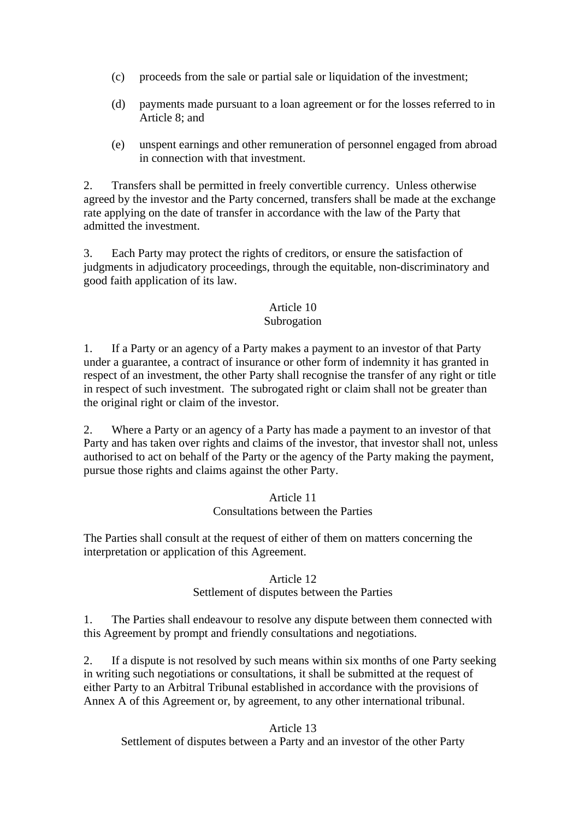- (c) proceeds from the sale or partial sale or liquidation of the investment;
- (d) payments made pursuant to a loan agreement or for the losses referred to in Article 8; and
- (e) unspent earnings and other remuneration of personnel engaged from abroad in connection with that investment.

2. Transfers shall be permitted in freely convertible currency. Unless otherwise agreed by the investor and the Party concerned, transfers shall be made at the exchange rate applying on the date of transfer in accordance with the law of the Party that admitted the investment.

3. Each Party may protect the rights of creditors, or ensure the satisfaction of judgments in adjudicatory proceedings, through the equitable, non-discriminatory and good faith application of its law.

## Article 10

#### Subrogation

1. If a Party or an agency of a Party makes a payment to an investor of that Party under a guarantee, a contract of insurance or other form of indemnity it has granted in respect of an investment, the other Party shall recognise the transfer of any right or title in respect of such investment. The subrogated right or claim shall not be greater than the original right or claim of the investor.

2. Where a Party or an agency of a Party has made a payment to an investor of that Party and has taken over rights and claims of the investor, that investor shall not, unless authorised to act on behalf of the Party or the agency of the Party making the payment, pursue those rights and claims against the other Party.

#### Article 11 Consultations between the Parties

The Parties shall consult at the request of either of them on matters concerning the interpretation or application of this Agreement.

## Article 12 Settlement of disputes between the Parties

1. The Parties shall endeavour to resolve any dispute between them connected with this Agreement by prompt and friendly consultations and negotiations.

2. If a dispute is not resolved by such means within six months of one Party seeking in writing such negotiations or consultations, it shall be submitted at the request of either Party to an Arbitral Tribunal established in accordance with the provisions of Annex A of this Agreement or, by agreement, to any other international tribunal.

## Article 13

Settlement of disputes between a Party and an investor of the other Party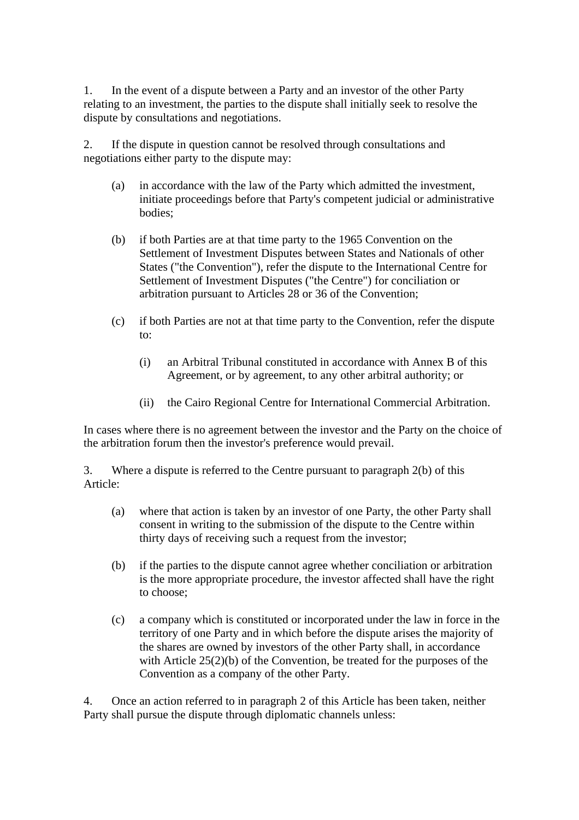1. In the event of a dispute between a Party and an investor of the other Party relating to an investment, the parties to the dispute shall initially seek to resolve the dispute by consultations and negotiations.

2. If the dispute in question cannot be resolved through consultations and negotiations either party to the dispute may:

- (a) in accordance with the law of the Party which admitted the investment, initiate proceedings before that Party's competent judicial or administrative bodies;
- (b) if both Parties are at that time party to the 1965 Convention on the Settlement of Investment Disputes between States and Nationals of other States ("the Convention"), refer the dispute to the International Centre for Settlement of Investment Disputes ("the Centre") for conciliation or arbitration pursuant to Articles 28 or 36 of the Convention;
- (c) if both Parties are not at that time party to the Convention, refer the dispute to:
	- (i) an Arbitral Tribunal constituted in accordance with Annex B of this Agreement, or by agreement, to any other arbitral authority; or
	- (ii) the Cairo Regional Centre for International Commercial Arbitration.

In cases where there is no agreement between the investor and the Party on the choice of the arbitration forum then the investor's preference would prevail.

3. Where a dispute is referred to the Centre pursuant to paragraph 2(b) of this Article:

- (a) where that action is taken by an investor of one Party, the other Party shall consent in writing to the submission of the dispute to the Centre within thirty days of receiving such a request from the investor;
- (b) if the parties to the dispute cannot agree whether conciliation or arbitration is the more appropriate procedure, the investor affected shall have the right to choose;
- (c) a company which is constituted or incorporated under the law in force in the territory of one Party and in which before the dispute arises the majority of the shares are owned by investors of the other Party shall, in accordance with Article 25(2)(b) of the Convention, be treated for the purposes of the Convention as a company of the other Party.

4. Once an action referred to in paragraph 2 of this Article has been taken, neither Party shall pursue the dispute through diplomatic channels unless: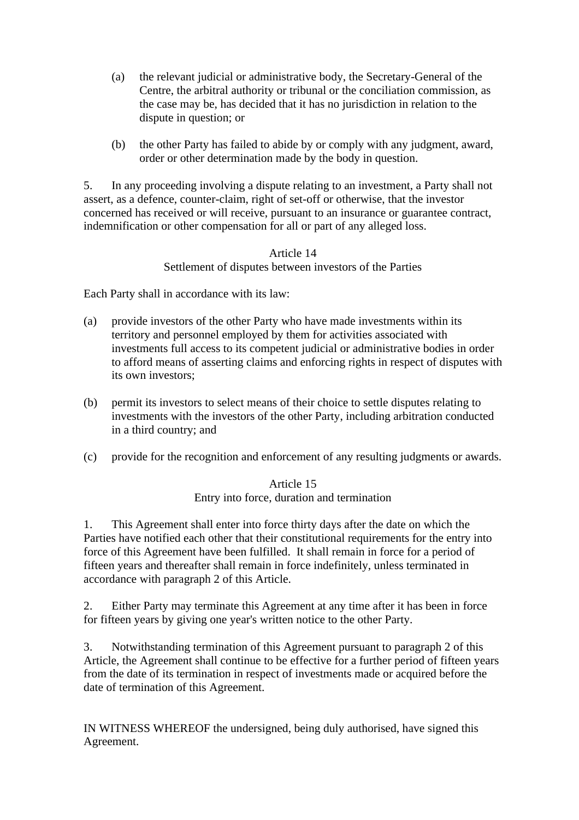- (a) the relevant judicial or administrative body, the Secretary-General of the Centre, the arbitral authority or tribunal or the conciliation commission, as the case may be, has decided that it has no jurisdiction in relation to the dispute in question; or
- (b) the other Party has failed to abide by or comply with any judgment, award, order or other determination made by the body in question.

5. In any proceeding involving a dispute relating to an investment, a Party shall not assert, as a defence, counter-claim, right of set-off or otherwise, that the investor concerned has received or will receive, pursuant to an insurance or guarantee contract, indemnification or other compensation for all or part of any alleged loss.

## Article 14 Settlement of disputes between investors of the Parties

Each Party shall in accordance with its law:

- (a) provide investors of the other Party who have made investments within its territory and personnel employed by them for activities associated with investments full access to its competent judicial or administrative bodies in order to afford means of asserting claims and enforcing rights in respect of disputes with its own investors;
- (b) permit its investors to select means of their choice to settle disputes relating to investments with the investors of the other Party, including arbitration conducted in a third country; and
- (c) provide for the recognition and enforcement of any resulting judgments or awards.

## Article 15 Entry into force, duration and termination

1. This Agreement shall enter into force thirty days after the date on which the Parties have notified each other that their constitutional requirements for the entry into force of this Agreement have been fulfilled. It shall remain in force for a period of fifteen years and thereafter shall remain in force indefinitely, unless terminated in accordance with paragraph 2 of this Article.

2. Either Party may terminate this Agreement at any time after it has been in force for fifteen years by giving one year's written notice to the other Party.

3. Notwithstanding termination of this Agreement pursuant to paragraph 2 of this Article, the Agreement shall continue to be effective for a further period of fifteen years from the date of its termination in respect of investments made or acquired before the date of termination of this Agreement.

IN WITNESS WHEREOF the undersigned, being duly authorised, have signed this Agreement.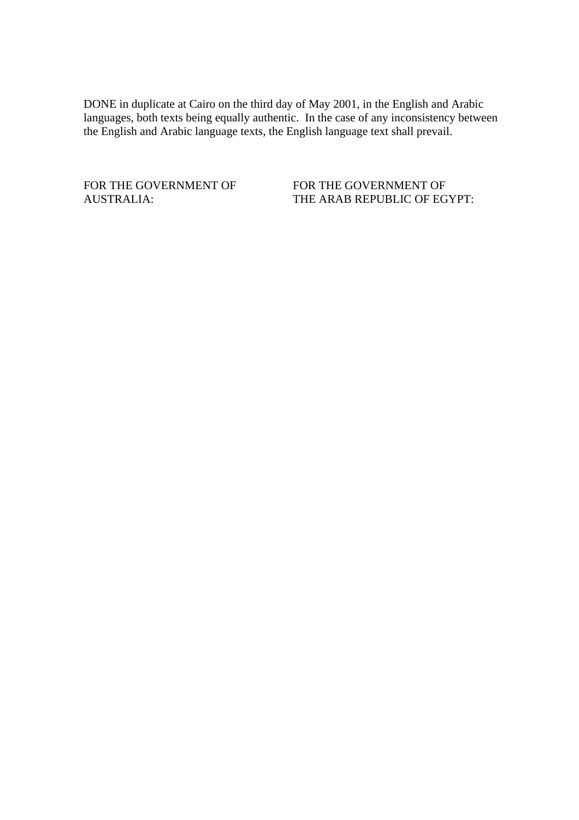DONE in duplicate at Cairo on the third day of May 2001, in the English and Arabic languages, both texts being equally authentic. In the case of any inconsistency between the English and Arabic language texts, the English language text shall prevail.

FOR THE GOVERNMENT OF FOR THE GOVERNMENT OF AUSTRALIA: THE ARAB REPUBLIC OF EGYPT: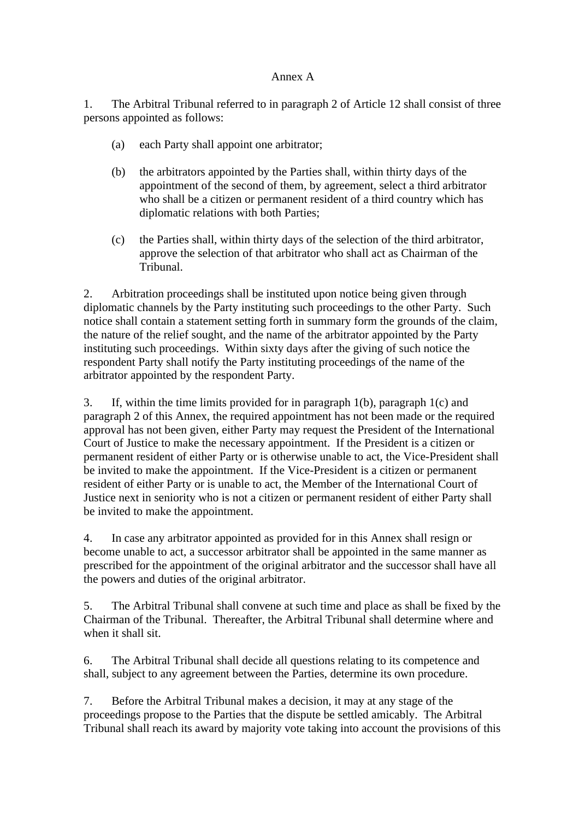#### Annex A

1. The Arbitral Tribunal referred to in paragraph 2 of Article 12 shall consist of three persons appointed as follows:

- (a) each Party shall appoint one arbitrator;
- (b) the arbitrators appointed by the Parties shall, within thirty days of the appointment of the second of them, by agreement, select a third arbitrator who shall be a citizen or permanent resident of a third country which has diplomatic relations with both Parties;
- (c) the Parties shall, within thirty days of the selection of the third arbitrator, approve the selection of that arbitrator who shall act as Chairman of the Tribunal.

2. Arbitration proceedings shall be instituted upon notice being given through diplomatic channels by the Party instituting such proceedings to the other Party. Such notice shall contain a statement setting forth in summary form the grounds of the claim, the nature of the relief sought, and the name of the arbitrator appointed by the Party instituting such proceedings. Within sixty days after the giving of such notice the respondent Party shall notify the Party instituting proceedings of the name of the arbitrator appointed by the respondent Party.

3. If, within the time limits provided for in paragraph 1(b), paragraph 1(c) and paragraph 2 of this Annex, the required appointment has not been made or the required approval has not been given, either Party may request the President of the International Court of Justice to make the necessary appointment. If the President is a citizen or permanent resident of either Party or is otherwise unable to act, the Vice-President shall be invited to make the appointment. If the Vice-President is a citizen or permanent resident of either Party or is unable to act, the Member of the International Court of Justice next in seniority who is not a citizen or permanent resident of either Party shall be invited to make the appointment.

4. In case any arbitrator appointed as provided for in this Annex shall resign or become unable to act, a successor arbitrator shall be appointed in the same manner as prescribed for the appointment of the original arbitrator and the successor shall have all the powers and duties of the original arbitrator.

5. The Arbitral Tribunal shall convene at such time and place as shall be fixed by the Chairman of the Tribunal. Thereafter, the Arbitral Tribunal shall determine where and when it shall sit.

6. The Arbitral Tribunal shall decide all questions relating to its competence and shall, subject to any agreement between the Parties, determine its own procedure.

7. Before the Arbitral Tribunal makes a decision, it may at any stage of the proceedings propose to the Parties that the dispute be settled amicably. The Arbitral Tribunal shall reach its award by majority vote taking into account the provisions of this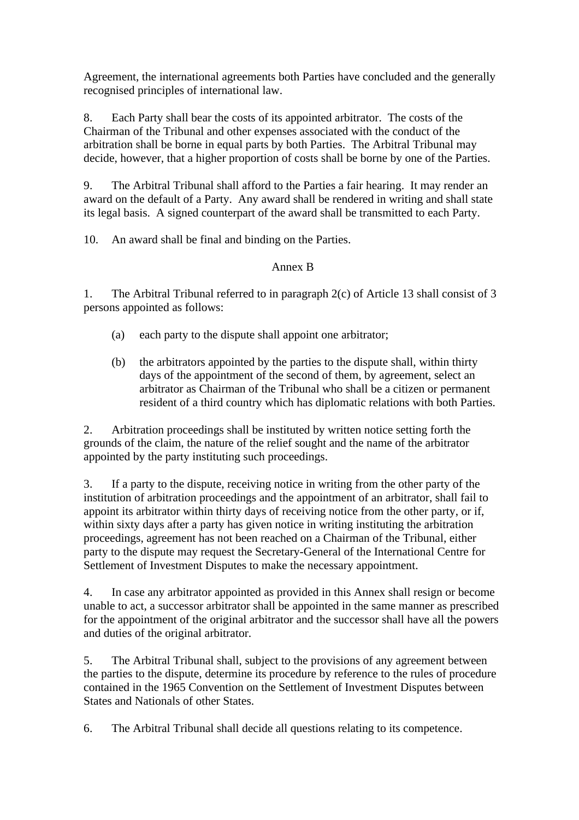Agreement, the international agreements both Parties have concluded and the generally recognised principles of international law.

8. Each Party shall bear the costs of its appointed arbitrator. The costs of the Chairman of the Tribunal and other expenses associated with the conduct of the arbitration shall be borne in equal parts by both Parties. The Arbitral Tribunal may decide, however, that a higher proportion of costs shall be borne by one of the Parties.

9. The Arbitral Tribunal shall afford to the Parties a fair hearing. It may render an award on the default of a Party. Any award shall be rendered in writing and shall state its legal basis. A signed counterpart of the award shall be transmitted to each Party.

10. An award shall be final and binding on the Parties.

## Annex B

1. The Arbitral Tribunal referred to in paragraph 2(c) of Article 13 shall consist of 3 persons appointed as follows:

- (a) each party to the dispute shall appoint one arbitrator;
- (b) the arbitrators appointed by the parties to the dispute shall, within thirty days of the appointment of the second of them, by agreement, select an arbitrator as Chairman of the Tribunal who shall be a citizen or permanent resident of a third country which has diplomatic relations with both Parties.

2. Arbitration proceedings shall be instituted by written notice setting forth the grounds of the claim, the nature of the relief sought and the name of the arbitrator appointed by the party instituting such proceedings.

3. If a party to the dispute, receiving notice in writing from the other party of the institution of arbitration proceedings and the appointment of an arbitrator, shall fail to appoint its arbitrator within thirty days of receiving notice from the other party, or if, within sixty days after a party has given notice in writing instituting the arbitration proceedings, agreement has not been reached on a Chairman of the Tribunal, either party to the dispute may request the Secretary-General of the International Centre for Settlement of Investment Disputes to make the necessary appointment.

4. In case any arbitrator appointed as provided in this Annex shall resign or become unable to act, a successor arbitrator shall be appointed in the same manner as prescribed for the appointment of the original arbitrator and the successor shall have all the powers and duties of the original arbitrator.

5. The Arbitral Tribunal shall, subject to the provisions of any agreement between the parties to the dispute, determine its procedure by reference to the rules of procedure contained in the 1965 Convention on the Settlement of Investment Disputes between States and Nationals of other States.

6. The Arbitral Tribunal shall decide all questions relating to its competence.